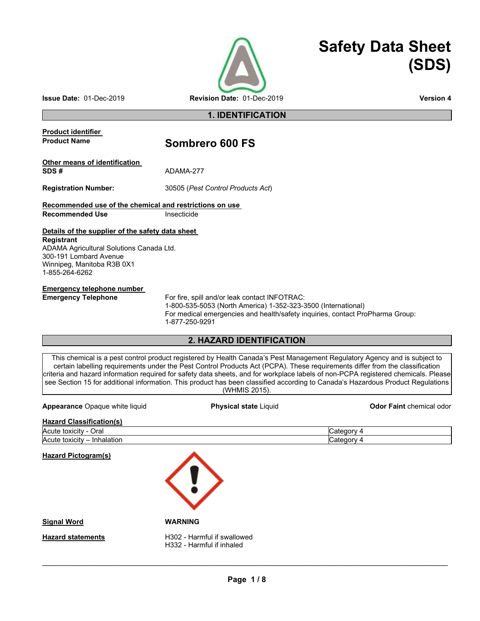

# **Safety Data Sheet (SDS)**

**1. IDENTIFICATION** 

## **Product identifier Product Name Sombrero 600 FS Other means of identification SDS #** ADAMA-277 **Registration Number:** 30505 (*Pest Control Products Act*) **Recommended use of the chemical and restrictions on use Recommended Use Comment Insecticide Details of the supplier of the safety data sheet Registrant** ADAMA Agricultural Solutions Canada Ltd. 300-191 Lombard Avenue Winnipeg, Manitoba R3B 0X1 1-855-264-6262 **Emergency telephone number<br>Emergency Telephone** For fire, spill and/or leak contact INFOTRAC:

1-800-535-5053 (North America) 1-352-323-3500 (International) For medical emergencies and health/safety inquiries, contact ProPharma Group: 1-877-250-9291

### **2. HAZARD IDENTIFICATION**

This chemical is a pest control product registered by Health Canada's Pest Management Regulatory Agency and is subject to certain labelling requirements under the Pest Control Products Act (PCPA). These requirements differ from the classification criteria and hazard information required for safety data sheets, and for workplace labels of non-PCPA registered chemicals. Please see Section 15 for additional information. This product has been classified according to Canada's Hazardous Product Regulations (WHMIS 2015).

**Appearance** Opaque white liquid **Physical state** Liquid **Odor Faint** chemical odor

| <b>Hazard Classification(s)</b> |            |
|---------------------------------|------------|
| Acute toxicity - Oral           | 4 Cateαorv |
| Acute toxicity – Inhalation     | Category 4 |

**Hazard Pictogram(s)**



**Signal Word WARNING**

**Hazard statements** H302 - Harmful if swallowed H332 - Harmful if inhaled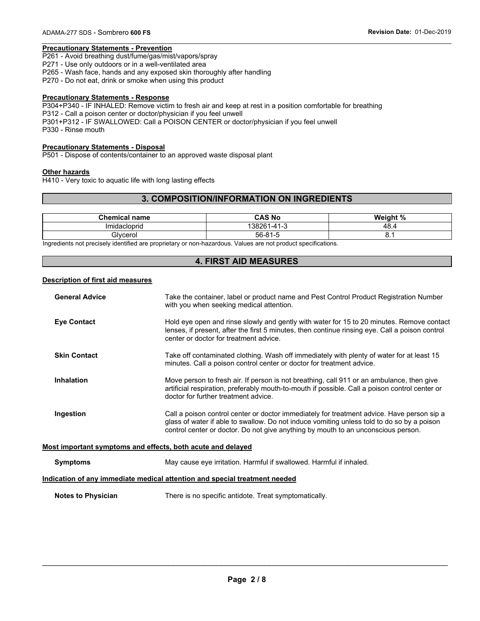### **Precautionary Statements - Prevention**

P261 - Avoid breathing dust/fume/gas/mist/vapors/spray

P271 - Use only outdoors or in a well-ventilated area

P265 - Wash face, hands and any exposed skin thoroughly after handling

P270 - Do not eat, drink or smoke when using this product

#### **Precautionary Statements - Response**

P304+P340 - IF INHALED: Remove victim to fresh air and keep at rest in a position comfortable for breathing P312 - Call a poison center or doctor/physician if you feel unwell P301+P312 - IF SWALLOWED: Call a POISON CENTER or doctor/physician if you feel unwell P330 - Rinse mouth

#### **Precautionary Statements - Disposal**

P501 - Dispose of contents/container to an approved waste disposal plant

#### **Other hazards**

H410 - Very toxic to aquatic life with long lasting effects

#### **3. COMPOSITION/INFORMATION ON INGREDIENTS**

| <b>Chemical name</b> | <b>CAS No</b>    | Weight % |
|----------------------|------------------|----------|
| Imidacioprid         | 138261<br>1-41-3 | 48.4     |
| Glvcerol             | $56 - 81 - 5$    | U.       |

Ingredients not precisely identified are proprietary or non-hazardous. Values are not product specifications.

#### **4. FIRST AID MEASURES**

#### **Description of first aid measures**

| <b>General Advice</b>                                       | Take the container, label or product name and Pest Control Product Registration Number<br>with you when seeking medical attention.                                                                                                                                            |
|-------------------------------------------------------------|-------------------------------------------------------------------------------------------------------------------------------------------------------------------------------------------------------------------------------------------------------------------------------|
| <b>Eye Contact</b>                                          | Hold eye open and rinse slowly and gently with water for 15 to 20 minutes. Remove contact<br>lenses, if present, after the first 5 minutes, then continue rinsing eye. Call a poison control<br>center or doctor for treatment advice.                                        |
| <b>Skin Contact</b>                                         | Take off contaminated clothing. Wash off immediately with plenty of water for at least 15<br>minutes. Call a poison control center or doctor for treatment advice.                                                                                                            |
| <b>Inhalation</b>                                           | Move person to fresh air. If person is not breathing, call 911 or an ambulance, then give<br>artificial respiration, preferably mouth-to-mouth if possible. Call a poison control center or<br>doctor for further treatment advice.                                           |
| Ingestion                                                   | Call a poison control center or doctor immediately for treatment advice. Have person sip a<br>glass of water if able to swallow. Do not induce vomiting unless told to do so by a poison<br>control center or doctor. Do not give anything by mouth to an unconscious person. |
| Most important symptoms and effects, both acute and delayed |                                                                                                                                                                                                                                                                               |
| <b>Symptoms</b>                                             | May cause eye irritation. Harmful if swallowed. Harmful if inhaled.                                                                                                                                                                                                           |
|                                                             | Indication of any immediate medical attention and special treatment needed                                                                                                                                                                                                    |
| <b>Notes to Physician</b>                                   | There is no specific antidote. Treat symptomatically.                                                                                                                                                                                                                         |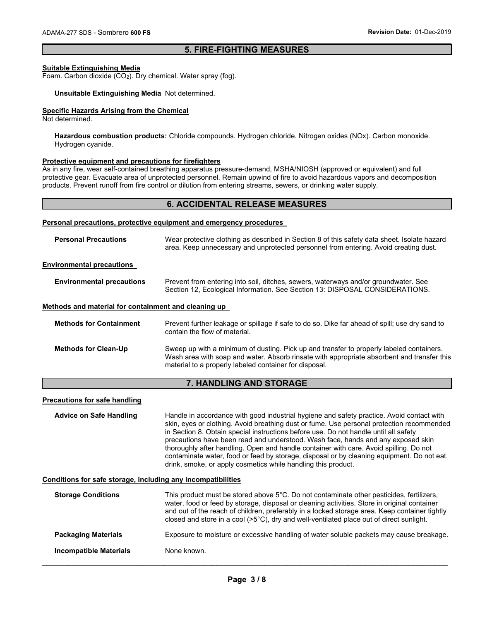#### **5. FIRE-FIGHTING MEASURES**

#### **Suitable Extinguishing Media**

Foam. Carbon dioxide (CO<sub>2</sub>). Dry chemical. Water spray (fog).

#### **Unsuitable Extinguishing Media** Not determined.

#### **Specific Hazards Arising from the Chemical**

Not determined.

**Hazardous combustion products:** Chloride compounds. Hydrogen chloride. Nitrogen oxides (NOx). Carbon monoxide. Hydrogen cyanide.

#### **Protective equipment and precautions for firefighters**

As in any fire, wear self-contained breathing apparatus pressure-demand, MSHA/NIOSH (approved or equivalent) and full protective gear. Evacuate area of unprotected personnel. Remain upwind of fire to avoid hazardous vapors and decomposition products. Prevent runoff from fire control or dilution from entering streams, sewers, or drinking water supply.

#### **6. ACCIDENTAL RELEASE MEASURES**

#### **Personal precautions, protective equipment and emergency procedures**

| <b>Personal Precautions</b>                                  | Wear protective clothing as described in Section 8 of this safety data sheet. Isolate hazard<br>area. Keep unnecessary and unprotected personnel from entering. Avoid creating dust.                                                                                                                                                                                                                                                                                                                                                                                                                                        |
|--------------------------------------------------------------|-----------------------------------------------------------------------------------------------------------------------------------------------------------------------------------------------------------------------------------------------------------------------------------------------------------------------------------------------------------------------------------------------------------------------------------------------------------------------------------------------------------------------------------------------------------------------------------------------------------------------------|
| <b>Environmental precautions</b>                             |                                                                                                                                                                                                                                                                                                                                                                                                                                                                                                                                                                                                                             |
| <b>Environmental precautions</b>                             | Prevent from entering into soil, ditches, sewers, waterways and/or groundwater. See<br>Section 12, Ecological Information. See Section 13: DISPOSAL CONSIDERATIONS.                                                                                                                                                                                                                                                                                                                                                                                                                                                         |
| Methods and material for containment and cleaning up         |                                                                                                                                                                                                                                                                                                                                                                                                                                                                                                                                                                                                                             |
| <b>Methods for Containment</b>                               | Prevent further leakage or spillage if safe to do so. Dike far ahead of spill; use dry sand to<br>contain the flow of material.                                                                                                                                                                                                                                                                                                                                                                                                                                                                                             |
| <b>Methods for Clean-Up</b>                                  | Sweep up with a minimum of dusting. Pick up and transfer to properly labeled containers.<br>Wash area with soap and water. Absorb rinsate with appropriate absorbent and transfer this<br>material to a properly labeled container for disposal.                                                                                                                                                                                                                                                                                                                                                                            |
|                                                              | 7. HANDLING AND STORAGE                                                                                                                                                                                                                                                                                                                                                                                                                                                                                                                                                                                                     |
| <b>Precautions for safe handling</b>                         |                                                                                                                                                                                                                                                                                                                                                                                                                                                                                                                                                                                                                             |
| <b>Advice on Safe Handling</b>                               | Handle in accordance with good industrial hygiene and safety practice. Avoid contact with<br>skin, eyes or clothing. Avoid breathing dust or fume. Use personal protection recommended<br>in Section 8. Obtain special instructions before use. Do not handle until all safety<br>precautions have been read and understood. Wash face, hands and any exposed skin<br>thoroughly after handling. Open and handle container with care. Avoid spilling. Do not<br>contaminate water, food or feed by storage, disposal or by cleaning equipment. Do not eat,<br>drink, smoke, or apply cosmetics while handling this product. |
| Conditions for safe storage, including any incompatibilities |                                                                                                                                                                                                                                                                                                                                                                                                                                                                                                                                                                                                                             |
| <b>Storage Conditions</b>                                    | This product must be stored above 5°C. Do not contaminate other pesticides, fertilizers,<br>water, food or feed by storage, disposal or cleaning activities. Store in original container<br>and out of the reach of children, preferably in a locked storage area. Keep container tightly<br>closed and store in a cool $(5^{\circ}C)$ , dry and well-ventilated place out of direct sunlight.                                                                                                                                                                                                                              |
| <b>Packaging Materials</b>                                   | Exposure to moisture or excessive handling of water soluble packets may cause breakage.                                                                                                                                                                                                                                                                                                                                                                                                                                                                                                                                     |
| <b>Incompatible Materials</b>                                | None known.                                                                                                                                                                                                                                                                                                                                                                                                                                                                                                                                                                                                                 |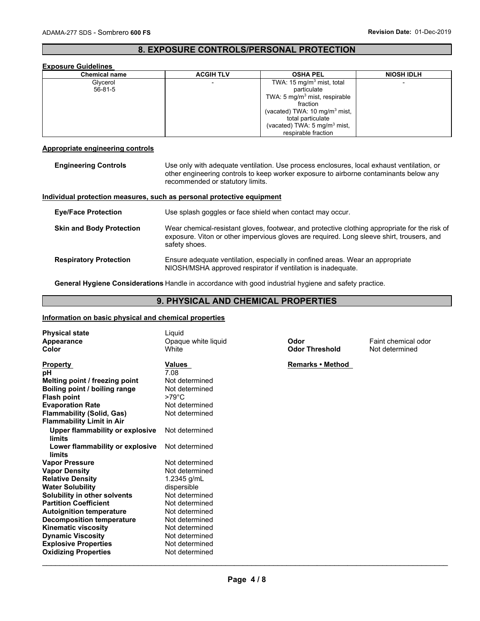### **8. EXPOSURE CONTROLS/PERSONAL PROTECTION**

#### **Exposure Guidelines**

| <b>Chemical name</b> | <b>ACGIH TLV</b> | <b>OSHA PEL</b>                          | <b>NIOSH IDLH</b> |
|----------------------|------------------|------------------------------------------|-------------------|
| Glycerol             |                  | TWA: 15 mg/m <sup>3</sup> mist, total    |                   |
| 56-81-5              |                  | particulate                              |                   |
|                      |                  | TWA: 5 $mq/m3$ mist, respirable          |                   |
|                      |                  | fraction                                 |                   |
|                      |                  | (vacated) TWA: $10 \text{ mg/m}^3$ mist, |                   |
|                      |                  | total particulate                        |                   |
|                      |                  | (vacated) TWA: $5 \text{ mg/m}^3$ mist,  |                   |
|                      |                  | respirable fraction                      |                   |

#### **Appropriate engineering controls**

| <b>Engineering Controls</b>     | Use only with adequate ventilation. Use process enclosures, local exhaust ventilation, or<br>other engineering controls to keep worker exposure to airborne contaminants below any<br>recommended or statutory limits. |
|---------------------------------|------------------------------------------------------------------------------------------------------------------------------------------------------------------------------------------------------------------------|
|                                 | Individual protection measures, such as personal protective equipment                                                                                                                                                  |
| <b>Eye/Face Protection</b>      | Use splash goggles or face shield when contact may occur.                                                                                                                                                              |
| <b>Skin and Body Protection</b> | Wear chemical-resistant gloves, footwear, and protective clothing appropriate for the risk of<br>exposure. Viton or other impervious gloves are required. Long sleeve shirt, trousers, and<br>safety shoes.            |
| <b>Respiratory Protection</b>   | Ensure adequate ventilation, especially in confined areas. Wear an appropriate<br>NIOSH/MSHA approved respirator if ventilation is inadequate.                                                                         |

**General Hygiene Considerations** Handle in accordance with good industrial hygiene and safety practice.

#### **9. PHYSICAL AND CHEMICAL PROPERTIES**

#### **Information on basic physical and chemical properties**

| <b>Physical state</b><br>Appearance<br>Color | Liquid<br>Opaque white liquid<br>White | Odor<br><b>Odor Threshold</b> | Faint chemical odor<br>Not determined |
|----------------------------------------------|----------------------------------------|-------------------------------|---------------------------------------|
| <b>Property</b>                              | <b>Values</b>                          | Remarks • Method              |                                       |
| рH                                           | 7.08                                   |                               |                                       |
| Melting point / freezing point               | Not determined                         |                               |                                       |
| Boiling point / boiling range                | Not determined                         |                               |                                       |
| <b>Flash point</b>                           | $>79^{\circ}$ C                        |                               |                                       |
| <b>Evaporation Rate</b>                      | Not determined                         |                               |                                       |
| <b>Flammability (Solid, Gas)</b>             | Not determined                         |                               |                                       |
| <b>Flammability Limit in Air</b>             |                                        |                               |                                       |
| <b>Upper flammability or explosive</b>       | Not determined                         |                               |                                       |
| limits                                       |                                        |                               |                                       |
| Lower flammability or explosive              | Not determined                         |                               |                                       |
| limits                                       |                                        |                               |                                       |
| <b>Vapor Pressure</b>                        | Not determined                         |                               |                                       |
| <b>Vapor Density</b>                         | Not determined                         |                               |                                       |
| <b>Relative Density</b>                      | 1.2345 $g/mL$                          |                               |                                       |
| <b>Water Solubility</b>                      | dispersible                            |                               |                                       |
| Solubility in other solvents                 | Not determined                         |                               |                                       |
| <b>Partition Coefficient</b>                 | Not determined                         |                               |                                       |
| <b>Autoignition temperature</b>              | Not determined                         |                               |                                       |
| <b>Decomposition temperature</b>             | Not determined                         |                               |                                       |
| <b>Kinematic viscosity</b>                   | Not determined                         |                               |                                       |
| <b>Dynamic Viscosity</b>                     | Not determined                         |                               |                                       |
| <b>Explosive Properties</b>                  | Not determined                         |                               |                                       |
| <b>Oxidizing Properties</b>                  | Not determined                         |                               |                                       |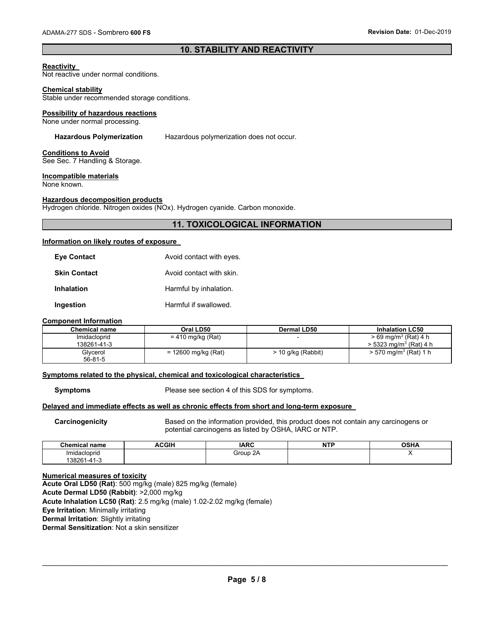### **10. STABILITY AND REACTIVITY**

#### **Reactivity**

Not reactive under normal conditions.

#### **Chemical stability**

Stable under recommended storage conditions.

#### **Possibility of hazardous reactions**

None under normal processing.

**Hazardous Polymerization** Hazardous polymerization does not occur.

#### **Conditions to Avoid**

See Sec. 7 Handling & Storage.

#### **Incompatible materials**

None known.

#### **Hazardous decomposition products**

Hydrogen chloride. Nitrogen oxides (NOx). Hydrogen cyanide. Carbon monoxide.

### **11. TOXICOLOGICAL INFORMATION**

#### **Information on likely routes of exposure**

| Eve Contact  | Avoid contact with eyes. |
|--------------|--------------------------|
| Skin Contact | Avoid contact with skin. |
| Inhalation   | Harmful by inhalation.   |
| Ingestion    | Harmful if swallowed.    |

#### **Component Information**

| Chemical name | Oral LD50           | Dermal LD50          | <b>Inhalation LC50</b>               |
|---------------|---------------------|----------------------|--------------------------------------|
| Imidacloprid  | $= 410$ mg/kg (Rat) |                      | $> 69$ mg/m <sup>3</sup> (Rat) 4 h   |
| 138261-41-3   |                     |                      | $>$ 5323 mg/m <sup>3</sup> (Rat) 4 h |
| Glycerol      | = 12600 mg/kg (Rat) | $> 10$ g/kg (Rabbit) | $>$ 570 mg/m <sup>3</sup> (Rat) 1 h  |
| $56 - 81 - 5$ |                     |                      |                                      |

#### **Symptoms related to the physical, chemical and toxicological characteristics**

**Symptoms** Please see section 4 of this SDS for symptoms.

#### **Delayed and immediate effects as well as chronic effects from short and long-term exposure**

**Carcinogenicity** Based on the information provided, this product does not contain any carcinogens or potential carcinogens as listed by OSHA, IARC or NTP.

| Chemical name                     | <b>ACGIH</b> | <b>IARC</b>           | פייי<br>N<br>. .<br>. | <b>OCUA</b><br>UJNA |
|-----------------------------------|--------------|-----------------------|-----------------------|---------------------|
| Imidacloprid                      |              | 2A<br>Group<br>$\sim$ |                       |                     |
| 38261<br>$\overline{\phantom{a}}$ |              |                       |                       |                     |

#### **Numerical measures of toxicity**

**Acute Oral LD50 (Rat)**: 500 mg/kg (male) 825 mg/kg (female) **Acute Dermal LD50 (Rabbit)**: >2,000 mg/kg **Acute Inhalation LC50 (Rat)**: 2.5 mg/kg (male) 1.02-2.02 mg/kg (female) **Eye Irritation**: Minimally irritating **Dermal Irritation**: Slightly irritating **Dermal Sensitization**: Not a skin sensitizer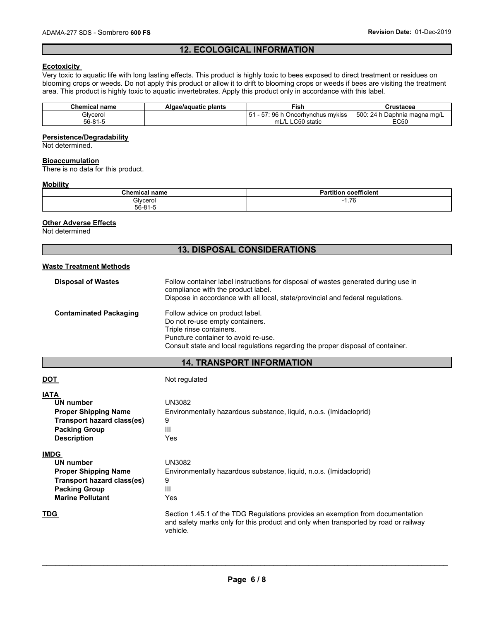### **12. ECOLOGICAL INFORMATION**

#### **Ecotoxicity**

Very toxic to aquatic life with long lasting effects. This product is highly toxic to bees exposed to direct treatment or residues on blooming crops or weeds. Do not apply this product or allow it to drift to blooming crops or weeds if bees are visiting the treatment area. This product is highly toxic to aquatic invertebrates. Apply this product only in accordance with this label.

| Chemical name | Algae/aguatic plants | Fish                                 | Crustacea                    |
|---------------|----------------------|--------------------------------------|------------------------------|
| Glvcerol      |                      | : 96 h Oncorhvnchus mvkiss<br>$51 -$ | 500: 24 h Daphnia magna mg/L |
| 56-81-5       |                      | mL/L LC50 static                     | EC50                         |

#### **Persistence/Degradability**

Not determined.

#### **Bioaccumulation**

There is no data for this product.

#### **Mobility**

| <b>Chemical name</b> | ---<br><b>tition</b><br>n.<br>coefficient<br>а     |
|----------------------|----------------------------------------------------|
| Glycerol             | 7C<br>$\overline{\phantom{0}}$<br>1. I V<br>$\sim$ |
| $56 - 81 - F$        |                                                    |

#### **Other Adverse Effects**

Not determined

### **13. DISPOSAL CONSIDERATIONS**

#### **Waste Treatment Methods**

| <b>Disposal of Wastes</b>     | Follow container label instructions for disposal of wastes generated during use in<br>compliance with the product label.<br>Dispose in accordance with all local, state/provincial and federal regulations.              |
|-------------------------------|--------------------------------------------------------------------------------------------------------------------------------------------------------------------------------------------------------------------------|
| <b>Contaminated Packaging</b> | Follow advice on product label.<br>Do not re-use empty containers.<br>Triple rinse containers.<br>Puncture container to avoid re-use.<br>Consult state and local regulations regarding the proper disposal of container. |

#### **14. TRANSPORT INFORMATION**

| <u>DOT</u>                                                                                                                               | Not regulated                                                                                                                                                                     |
|------------------------------------------------------------------------------------------------------------------------------------------|-----------------------------------------------------------------------------------------------------------------------------------------------------------------------------------|
| <b>IATA</b><br>UN number<br><b>Proper Shipping Name</b><br>Transport hazard class(es)<br><b>Packing Group</b><br><b>Description</b>      | UN3082<br>Environmentally hazardous substance, liquid, n.o.s. (Imidacloprid)<br>9<br>Ш<br>Yes                                                                                     |
| <b>IMDG</b><br>UN number<br><b>Proper Shipping Name</b><br>Transport hazard class(es)<br><b>Packing Group</b><br><b>Marine Pollutant</b> | UN3082<br>Environmentally hazardous substance, liquid, n.o.s. (Imidacloprid)<br>9<br>Ш<br>Yes                                                                                     |
| <b>TDG</b>                                                                                                                               | Section 1.45.1 of the TDG Regulations provides an exemption from documentation<br>and safety marks only for this product and only when transported by road or railway<br>vehicle. |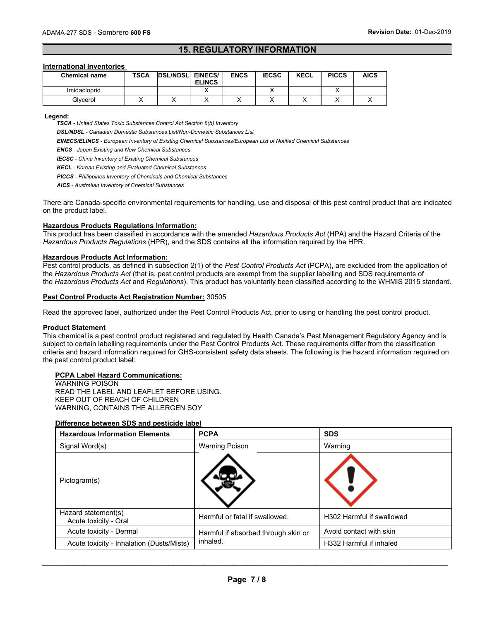#### **15. REGULATORY INFORMATION**

#### **International Inventories**

| <b>Chemical name</b> | <b>TSCA</b> | <b>DSL/NDSL</b> | <b>EINECS/</b><br><b>ELINCS</b> | <b>ENCS</b> | <b>IECSC</b> | <b>KECL</b> | <b>PICCS</b> | <b>AICS</b> |
|----------------------|-------------|-----------------|---------------------------------|-------------|--------------|-------------|--------------|-------------|
| Imidacloprid         |             |                 |                                 |             |              |             |              |             |
| Glvcerol             |             |                 |                                 |             |              |             |              |             |

**Legend:** 

*TSCA - United States Toxic Substances Control Act Section 8(b) Inventory* 

*DSL/NDSL - Canadian Domestic Substances List/Non-Domestic Substances List* 

*EINECS/ELINCS - European Inventory of Existing Chemical Substances/European List of Notified Chemical Substances* 

*ENCS - Japan Existing and New Chemical Substances* 

*IECSC - China Inventory of Existing Chemical Substances* 

*KECL - Korean Existing and Evaluated Chemical Substances* 

*PICCS - Philippines Inventory of Chemicals and Chemical Substances* 

*AICS - Australian Inventory of Chemical Substances* 

There are Canada-specific environmental requirements for handling, use and disposal of this pest control product that are indicated on the product label.

#### **Hazardous Products Regulations Information:**

This product has been classified in accordance with the amended *Hazardous Products Act* (HPA) and the Hazard Criteria of the *Hazardous Products Regulations* (HPR), and the SDS contains all the information required by the HPR.

#### **Hazardous Products Act Information:**

Pest control products, as defined in subsection 2(1) of the *Pest Control Products Act* (PCPA), are excluded from the application of the *Hazardous Products Act* (that is, pest control products are exempt from the supplier labelling and SDS requirements of the *Hazardous Products Act* and *Regulations*). This product has voluntarily been classified according to the WHMIS 2015 standard.

#### **Pest Control Products Act Registration Number:** 30505

Read the approved label, authorized under the Pest Control Products Act, prior to using or handling the pest control product.

#### **Product Statement**

This chemical is a pest control product registered and regulated by Health Canada's Pest Management Regulatory Agency and is subject to certain labelling requirements under the Pest Control Products Act. These requirements differ from the classification criteria and hazard information required for GHS-consistent safety data sheets. The following is the hazard information required on the pest control product label:

#### **PCPA Label Hazard Communications:**

WARNING POISON READ THE LABEL AND LEAFLET BEFORE USING. KEEP OUT OF REACH OF CHILDREN WARNING, CONTAINS THE ALLERGEN SOY

#### **Difference between SDS and pesticide label**

| <b>Hazardous Information Elements</b>        | <b>PCPA</b>                         | <b>SDS</b>                |
|----------------------------------------------|-------------------------------------|---------------------------|
| Signal Word(s)                               | <b>Warning Poison</b>               | Warning                   |
| Pictogram(s)                                 |                                     |                           |
| Hazard statement(s)<br>Acute toxicity - Oral | Harmful or fatal if swallowed.      | H302 Harmful if swallowed |
| Acute toxicity - Dermal                      | Harmful if absorbed through skin or | Avoid contact with skin   |
| Acute toxicity - Inhalation (Dusts/Mists)    | inhaled.                            | H332 Harmful if inhaled   |